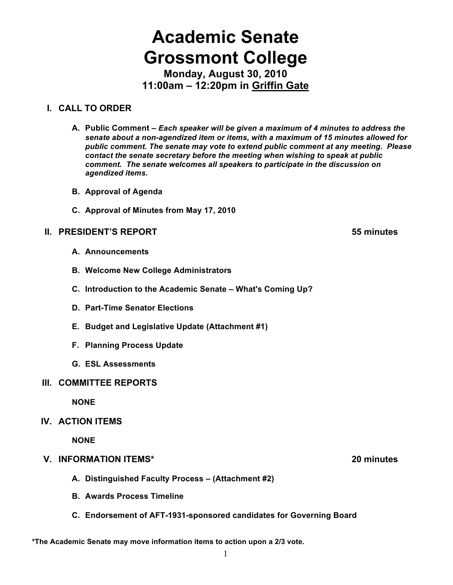# **Academic Senate Grossmont College**

**Monday, August 30, 2010 11:00am – 12:20pm in Griffin Gate**

# **I. CALL TO ORDER**

- **A. Public Comment –** *Each speaker will be given a maximum of 4 minutes to address the senate about a non-agendized item or items, with a maximum of 15 minutes allowed for public comment. The senate may vote to extend public comment at any meeting. Please contact the senate secretary before the meeting when wishing to speak at public comment. The senate welcomes all speakers to participate in the discussion on agendized items.*
- **B. Approval of Agenda**
- **C. Approval of Minutes from May 17, 2010**

# **II. PRESIDENT'S REPORT 55 minutes**

- **A. Announcements**
- **B. Welcome New College Administrators**
- **C. Introduction to the Academic Senate What's Coming Up?**
- **D. Part-Time Senator Elections**
- **E. Budget and Legislative Update (Attachment #1)**
- **F. Planning Process Update**
- **G. ESL Assessments**

# **III. COMMITTEE REPORTS**

**NONE**

# **IV. ACTION ITEMS**

**NONE**

# **V. INFORMATION ITEMS\* 20 minutes**

- **A. Distinguished Faculty Process (Attachment #2)**
- **B. Awards Process Timeline**
- **C. Endorsement of AFT-1931-sponsored candidates for Governing Board**

#### **\*The Academic Senate may move information items to action upon a 2/3 vote.**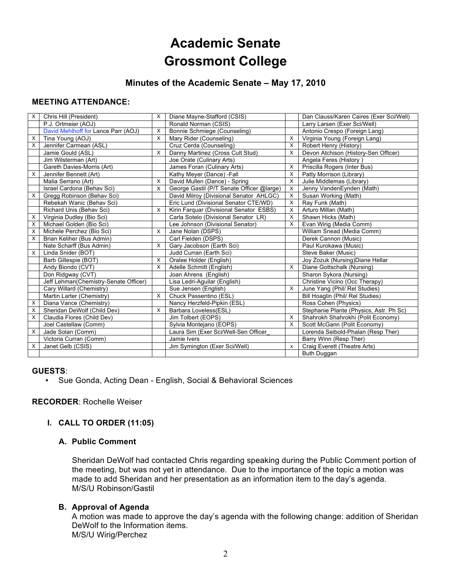# **Academic Senate Grossmont College**

# **Minutes of the Academic Senate – May 17, 2010**

#### **MEETING ATTENDANCE:**

| X | Chris Hill (President)                | X        | Diane Mayne-Stafford (CSIS)               |                           | Dan Clauss/Karen Caires (Exer Sci/Well) |
|---|---------------------------------------|----------|-------------------------------------------|---------------------------|-----------------------------------------|
|   | P.J. Ortmeier (AOJ)                   |          | Ronald Norman (CSIS)                      |                           | Larry Larsen (Exer Sci/Well)            |
|   | David Mehlhoff for Lance Parr (AOJ)   | X        | Bonnie Schmiege (Counseling)              |                           | Antonio Crespo (Foreign Lang)           |
| х | Tina Young (AOJ)                      | X        | Mary Rider (Counseling)                   | X                         | Virginia Young (Foreign Lang)           |
| X | Jennifer Carmean (ASL)                |          | Cruz Cerda (Counseling)                   | X                         | Robert Henry (History)                  |
|   | Jamie Gould (ASL)                     | X        | Danny Martinez (Cross Cult Stud)          | X                         | Devon Atchison (History-Sen Officer)    |
|   | Jim Wilsterman (Art)                  |          | Joe Orate (Culinary Arts)                 |                           | Angela Feres (History)                  |
|   | Gareth Davies-Morris (Art)            |          | James Foran (Culinary Arts)               | X                         | Priscilla Rogers (Inter Bus)            |
| X | Jennifer Bennett (Art)                |          | Kathy Meyer (Dance) - Fall                | X                         | Patty Morrison (Library)                |
|   | Malia Serrano (Art)                   | X        | David Mullen (Dance) - Spring             | X                         | Julie Middlemas (Library)               |
|   | Israel Cardona (Behav Sci)            | X        | George Gastil (P/T Senate Officer @large) | х                         | Jenny VandenEynden (Math)               |
| X | Gregg Robinson (Behav Sci)            |          | David Milroy (Divisional Senator AHLGC)   | X                         | Susan Working (Math)                    |
|   | Rebekah Wanic (Behav Sci)             |          | Eric Lund (Divisional Senator CTE/WD)     | X                         | Ray Funk (Math)                         |
|   | Richard Unis (Behav Sci)              | X        | Kirin Farquar (Divisional Senator ESBS)   | х                         | Arturo Millan (Math)                    |
| X | Virginia Dudley (Bio Sci)             |          | Carla Sotelo (Divisional Senator LR)      | X                         | Shawn Hicks (Math)                      |
| X | Michael Golden (Bio Sci)              |          | Lee Johnson (Divisional Senator)          | X                         | Evan Wirig (Media Comm)                 |
| X | Michele Perchez (Bio Sci)             | X        | Jane Nolan (DSPS)                         |                           | William Snead (Media Comm)              |
| X | Brian Keliher (Bus Admin)             |          | Carl Fielden (DSPS)                       |                           | Derek Cannon (Music)                    |
|   | Nate Scharff (Bus Admin)              | X        | Gary Jacobson (Earth Sci)                 |                           | Paul Kurokawa (Music)                   |
| X | Linda Snider (BOT)                    |          | Judd Curran (Earth Sci)                   |                           | Steve Baker (Music)                     |
|   | Barb Gillespie (BOT)                  | X        | Oralee Holder (English)                   |                           | Joy Zozuk (Nursing) Diane Hellar        |
|   | Andy Biondo (CVT)                     | $\times$ | Adelle Schmitt (English)                  | X                         | Diane Gottschalk (Nursing)              |
|   | Don Ridgway (CVT)                     |          | Joan Ahrens (English)                     |                           | Sharon Sykora (Nursing)                 |
|   | Jeff Lehman(Chemistry-Senate Officer) |          | Lisa Ledri-Aguilar (English)              |                           | Christine Vicino (Occ Therapy)          |
|   | Cary Willard (Chemistry)              |          | Sue Jensen (English)                      | X                         | June Yang (Phil/ Rel Studies)           |
|   | Martin Larter (Chemistry)             | X        | Chuck Passentino (ESL)                    |                           | Bill Hoaglin (Phil/ Rel Studies)        |
| X | Diana Vance (Chemistry)               |          | Nancy Herzfeld-Pipkin (ESL)               |                           | Ross Cohen (Physics)                    |
| X | Sheridan DeWolf (Child Dev)           | $\times$ | Barbara Loveless(ESL)                     |                           | Stephanie Plante (Physics, Astr. Ph Sc) |
| X | Claudia Flores (Child Dev)            |          | Jim Tolbert (EOPS)                        | X                         | Shahrokh Shahrokhi (Polit Economy)      |
|   | Joel Castellaw (Comm)                 |          | Sylvia Montejano (EOPS)                   | X                         | Scott McGann (Polit Economy)            |
| X | Jade Solan (Comm)                     |          | Laura Sim (Exer Sci/Well-Sen Officer      |                           | Lorenda Seibold-Phalan (Resp Ther)      |
|   | Victoria Curran (Comm)                |          | Jamie Ivers                               |                           | Barry Winn (Resp Ther)                  |
| х | Janet Gelb (CSIS)                     |          | Jim Symington (Exer Sci/Well)             | $\boldsymbol{\mathsf{x}}$ | Craig Everett (Theatre Arts)            |
|   |                                       |          |                                           |                           | Buth Duggan                             |

#### **GUESTS**:

• Sue Gonda, Acting Dean - English, Social & Behavioral Sciences

#### **RECORDER**: Rochelle Weiser

#### **I. CALL TO ORDER (11:05)**

#### **A. Public Comment**

Sheridan DeWolf had contacted Chris regarding speaking during the Public Comment portion of the meeting, but was not yet in attendance. Due to the importance of the topic a motion was made to add Sheridan and her presentation as an information item to the day's agenda. M/S/U Robinson/Gastil

#### **B. Approval of Agenda**

A motion was made to approve the day's agenda with the following change: addition of Sheridan DeWolf to the Information items. M/S/U Wirig/Perchez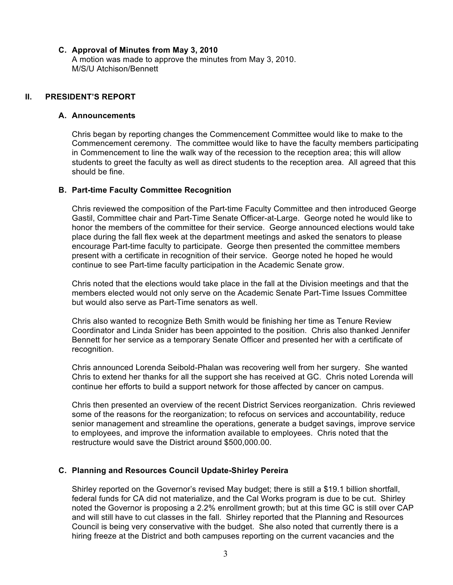#### **C. Approval of Minutes from May 3, 2010**

A motion was made to approve the minutes from May 3, 2010. M/S/U Atchison/Bennett

#### **II. PRESIDENT'S REPORT**

#### **A. Announcements**

Chris began by reporting changes the Commencement Committee would like to make to the Commencement ceremony. The committee would like to have the faculty members participating in Commencement to line the walk way of the recession to the reception area; this will allow students to greet the faculty as well as direct students to the reception area. All agreed that this should be fine.

#### **B. Part-time Faculty Committee Recognition**

Chris reviewed the composition of the Part-time Faculty Committee and then introduced George Gastil, Committee chair and Part-Time Senate Officer-at-Large. George noted he would like to honor the members of the committee for their service. George announced elections would take place during the fall flex week at the department meetings and asked the senators to please encourage Part-time faculty to participate. George then presented the committee members present with a certificate in recognition of their service. George noted he hoped he would continue to see Part-time faculty participation in the Academic Senate grow.

Chris noted that the elections would take place in the fall at the Division meetings and that the members elected would not only serve on the Academic Senate Part-Time Issues Committee but would also serve as Part-Time senators as well.

Chris also wanted to recognize Beth Smith would be finishing her time as Tenure Review Coordinator and Linda Snider has been appointed to the position. Chris also thanked Jennifer Bennett for her service as a temporary Senate Officer and presented her with a certificate of recognition.

Chris announced Lorenda Seibold-Phalan was recovering well from her surgery. She wanted Chris to extend her thanks for all the support she has received at GC. Chris noted Lorenda will continue her efforts to build a support network for those affected by cancer on campus.

Chris then presented an overview of the recent District Services reorganization. Chris reviewed some of the reasons for the reorganization; to refocus on services and accountability, reduce senior management and streamline the operations, generate a budget savings, improve service to employees, and improve the information available to employees. Chris noted that the restructure would save the District around \$500,000.00.

#### **C. Planning and Resources Council Update-Shirley Pereira**

Shirley reported on the Governor's revised May budget; there is still a \$19.1 billion shortfall, federal funds for CA did not materialize, and the Cal Works program is due to be cut. Shirley noted the Governor is proposing a 2.2% enrollment growth; but at this time GC is still over CAP and will still have to cut classes in the fall. Shirley reported that the Planning and Resources Council is being very conservative with the budget. She also noted that currently there is a hiring freeze at the District and both campuses reporting on the current vacancies and the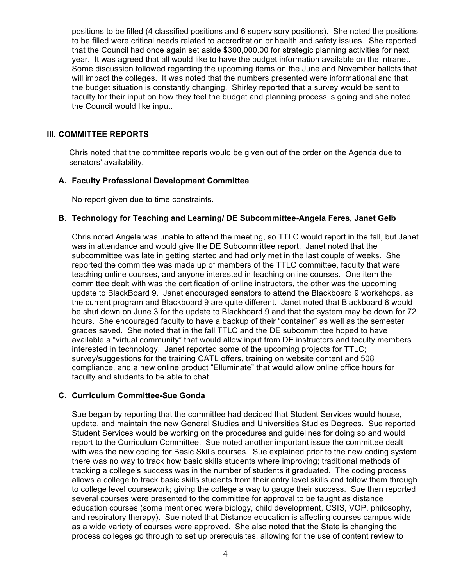positions to be filled (4 classified positions and 6 supervisory positions). She noted the positions to be filled were critical needs related to accreditation or health and safety issues. She reported that the Council had once again set aside \$300,000.00 for strategic planning activities for next year. It was agreed that all would like to have the budget information available on the intranet. Some discussion followed regarding the upcoming items on the June and November ballots that will impact the colleges. It was noted that the numbers presented were informational and that the budget situation is constantly changing. Shirley reported that a survey would be sent to faculty for their input on how they feel the budget and planning process is going and she noted the Council would like input.

#### **III. COMMITTEE REPORTS**

Chris noted that the committee reports would be given out of the order on the Agenda due to senators' availability.

#### **A. Faculty Professional Development Committee**

No report given due to time constraints.

#### **B. Technology for Teaching and Learning/ DE Subcommittee-Angela Feres, Janet Gelb**

Chris noted Angela was unable to attend the meeting, so TTLC would report in the fall, but Janet was in attendance and would give the DE Subcommittee report. Janet noted that the subcommittee was late in getting started and had only met in the last couple of weeks. She reported the committee was made up of members of the TTLC committee, faculty that were teaching online courses, and anyone interested in teaching online courses. One item the committee dealt with was the certification of online instructors, the other was the upcoming update to BlackBoard 9. Janet encouraged senators to attend the Blackboard 9 workshops, as the current program and Blackboard 9 are quite different. Janet noted that Blackboard 8 would be shut down on June 3 for the update to Blackboard 9 and that the system may be down for 72 hours. She encouraged faculty to have a backup of their "container" as well as the semester grades saved. She noted that in the fall TTLC and the DE subcommittee hoped to have available a "virtual community" that would allow input from DE instructors and faculty members interested in technology. Janet reported some of the upcoming projects for TTLC; survey/suggestions for the training CATL offers, training on website content and 508 compliance, and a new online product "Elluminate" that would allow online office hours for faculty and students to be able to chat.

#### **C. Curriculum Committee-Sue Gonda**

Sue began by reporting that the committee had decided that Student Services would house, update, and maintain the new General Studies and Universities Studies Degrees. Sue reported Student Services would be working on the procedures and guidelines for doing so and would report to the Curriculum Committee. Sue noted another important issue the committee dealt with was the new coding for Basic Skills courses. Sue explained prior to the new coding system there was no way to track how basic skills students where improving; traditional methods of tracking a college's success was in the number of students it graduated. The coding process allows a college to track basic skills students from their entry level skills and follow them through to college level coursework; giving the college a way to gauge their success. Sue then reported several courses were presented to the committee for approval to be taught as distance education courses (some mentioned were biology, child development, CSIS, VOP, philosophy, and respiratory therapy). Sue noted that Distance education is affecting courses campus wide as a wide variety of courses were approved. She also noted that the State is changing the process colleges go through to set up prerequisites, allowing for the use of content review to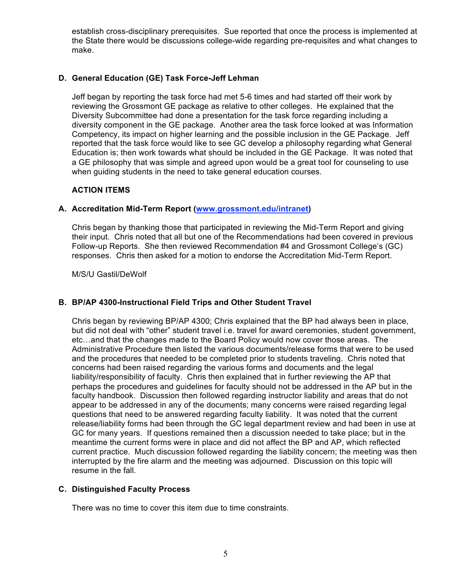establish cross-disciplinary prerequisites. Sue reported that once the process is implemented at the State there would be discussions college-wide regarding pre-requisites and what changes to make.

#### **D. General Education (GE) Task Force-Jeff Lehman**

Jeff began by reporting the task force had met 5-6 times and had started off their work by reviewing the Grossmont GE package as relative to other colleges. He explained that the Diversity Subcommittee had done a presentation for the task force regarding including a diversity component in the GE package. Another area the task force looked at was Information Competency, its impact on higher learning and the possible inclusion in the GE Package. Jeff reported that the task force would like to see GC develop a philosophy regarding what General Education is; then work towards what should be included in the GE Package. It was noted that a GE philosophy that was simple and agreed upon would be a great tool for counseling to use when guiding students in the need to take general education courses.

#### **ACTION ITEMS**

### **A. Accreditation Mid-Term Report (www.grossmont.edu/intranet)**

Chris began by thanking those that participated in reviewing the Mid-Term Report and giving their input. Chris noted that all but one of the Recommendations had been covered in previous Follow-up Reports. She then reviewed Recommendation #4 and Grossmont College's (GC) responses. Chris then asked for a motion to endorse the Accreditation Mid-Term Report.

M/S/U Gastil/DeWolf

#### **B. BP/AP 4300-Instructional Field Trips and Other Student Travel**

Chris began by reviewing BP/AP 4300; Chris explained that the BP had always been in place, but did not deal with "other" student travel i.e. travel for award ceremonies, student government, etc…and that the changes made to the Board Policy would now cover those areas. The Administrative Procedure then listed the various documents/release forms that were to be used and the procedures that needed to be completed prior to students traveling. Chris noted that concerns had been raised regarding the various forms and documents and the legal liability/responsibility of faculty. Chris then explained that in further reviewing the AP that perhaps the procedures and guidelines for faculty should not be addressed in the AP but in the faculty handbook. Discussion then followed regarding instructor liability and areas that do not appear to be addressed in any of the documents; many concerns were raised regarding legal questions that need to be answered regarding faculty liability. It was noted that the current release/liability forms had been through the GC legal department review and had been in use at GC for many years. If questions remained then a discussion needed to take place; but in the meantime the current forms were in place and did not affect the BP and AP, which reflected current practice. Much discussion followed regarding the liability concern; the meeting was then interrupted by the fire alarm and the meeting was adjourned. Discussion on this topic will resume in the fall.

#### **C. Distinguished Faculty Process**

There was no time to cover this item due to time constraints.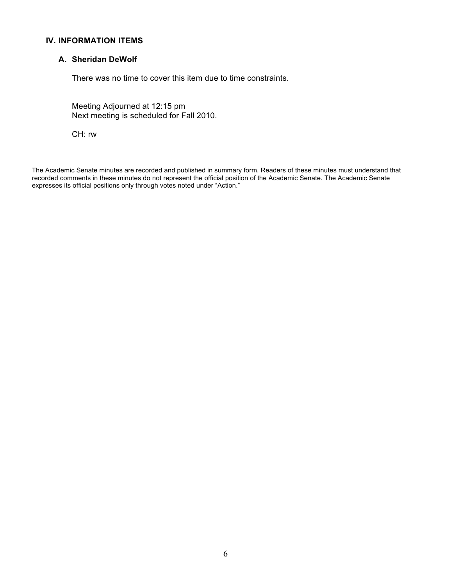### **IV. INFORMATION ITEMS**

#### **A. Sheridan DeWolf**

There was no time to cover this item due to time constraints.

Meeting Adjourned at 12:15 pm Next meeting is scheduled for Fall 2010.

CH: rw

The Academic Senate minutes are recorded and published in summary form. Readers of these minutes must understand that recorded comments in these minutes do not represent the official position of the Academic Senate. The Academic Senate expresses its official positions only through votes noted under "Action."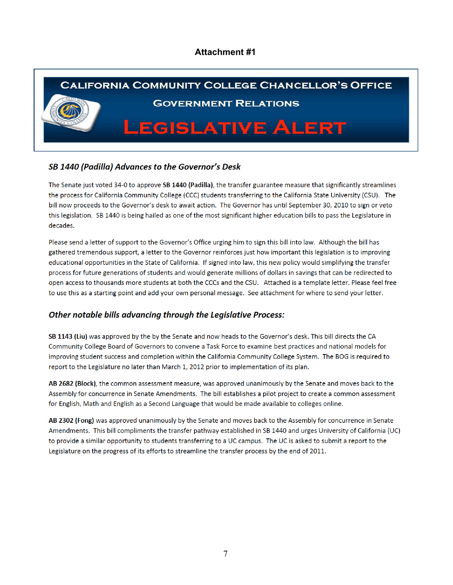### **Attachment #1**



### SB 1440 (Padilla) Advances to the Governor's Desk

The Senate just voted 34-0 to approve SB 1440 (Padilla), the transfer guarantee measure that significantly streamlines the process for California Community College (CCC) students transferring to the California State University (CSU). The bill now proceeds to the Governor's desk to await action. The Governor has until September 30, 2010 to sign or veto this legislation. SB 1440 is being hailed as one of the most significant higher education bills to pass the Legislature in decades.

Please send a letter of support to the Governor's Office urging him to sign this bill into law. Although the bill has gathered tremendous support, a letter to the Governor reinforces just how important this legislation is to improving educational opportunities in the State of California. If signed into law, this new policy would simplifying the transfer process for future generations of students and would generate millions of dollars in savings that can be redirected to open access to thousands more students at both the CCCs and the CSU. Attached is a template letter. Please feel free to use this as a starting point and add your own personal message. See attachment for where to send your letter.

#### **Other notable bills advancing through the Legislative Process:**

SB 1143 (Liu) was approved by the by the Senate and now heads to the Governor's desk. This bill directs the CA Community College Board of Governors to convene a Task Force to examine best practices and national models for improving student success and completion within the California Community College System. The BOG is required to report to the Legislature no later than March 1, 2012 prior to implementation of its plan.

AB 2682 (Block), the common assessment measure, was approved unanimously by the Senate and moves back to the Assembly for concurrence in Senate Amendments. The bill establishes a pilot project to create a common assessment for English, Math and English as a Second Language that would be made available to colleges online.

AB 2302 (Fong) was approved unanimously by the Senate and moves back to the Assembly for concurrence in Senate Amendments. This bill compliments the transfer pathway established in SB 1440 and urges University of California (UC) to provide a similar opportunity to students transferring to a UC campus. The UC is asked to submit a report to the Legislature on the progress of its efforts to streamline the transfer process by the end of 2011.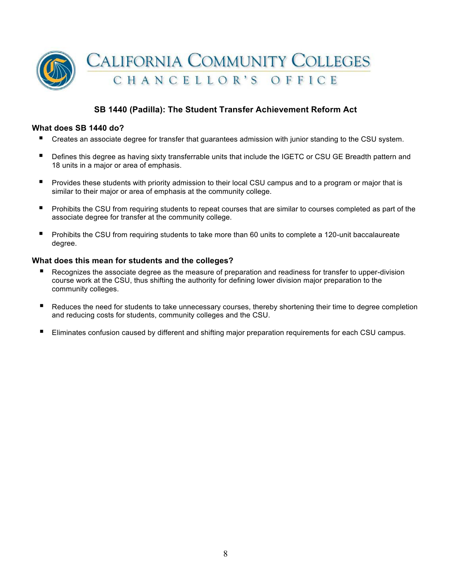

### **SB 1440 (Padilla): The Student Transfer Achievement Reform Act**

#### **What does SB 1440 do?**

- Creates an associate degree for transfer that guarantees admission with junior standing to the CSU system.
- **Defines this degree as having sixty transferrable units that include the IGETC or CSU GE Breadth pattern and** 18 units in a major or area of emphasis.
- **P** Provides these students with priority admission to their local CSU campus and to a program or major that is similar to their major or area of emphasis at the community college.
- **Prohibits the CSU from requiring students to repeat courses that are similar to courses completed as part of the** associate degree for transfer at the community college.
- **Prohibits the CSU from requiring students to take more than 60 units to complete a 120-unit baccalaureate** degree.

#### **What does this mean for students and the colleges?**

- Recognizes the associate degree as the measure of preparation and readiness for transfer to upper-division course work at the CSU, thus shifting the authority for defining lower division major preparation to the community colleges.
- Reduces the need for students to take unnecessary courses, thereby shortening their time to degree completion and reducing costs for students, community colleges and the CSU.
- Eliminates confusion caused by different and shifting major preparation requirements for each CSU campus.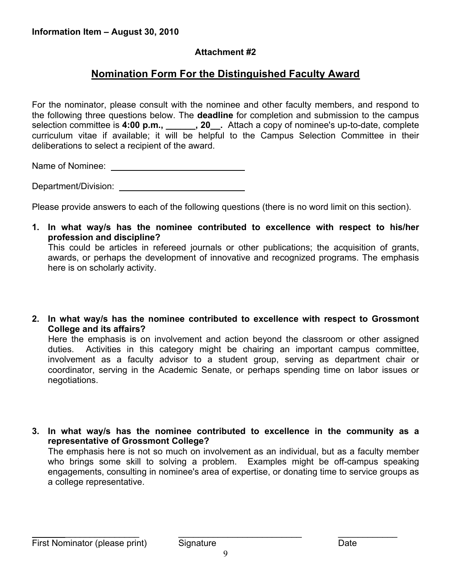# **Attachment #2**

# **Nomination Form For the Distinguished Faculty Award**

For the nominator, please consult with the nominee and other faculty members, and respond to the following three questions below. The **deadline** for completion and submission to the campus selection committee is **4:00 p.m., \_\_\_\_\_\_, 20\_\_.** Attach a copy of nominee's up-to-date, complete curriculum vitae if available; it will be helpful to the Campus Selection Committee in their deliberations to select a recipient of the award.

Name of Nominee: \_

Department/Division: University of the University of the University of the University of the University of the U

Please provide answers to each of the following questions (there is no word limit on this section).

**1. In what way/s has the nominee contributed to excellence with respect to his/her profession and discipline?** This could be articles in refereed journals or other publications; the acquisition of grants,

awards, or perhaps the development of innovative and recognized programs. The emphasis here is on scholarly activity.

**2. In what way/s has the nominee contributed to excellence with respect to Grossmont College and its affairs?**

Here the emphasis is on involvement and action beyond the classroom or other assigned duties. Activities in this category might be chairing an important campus committee, involvement as a faculty advisor to a student group, serving as department chair or coordinator, serving in the Academic Senate, or perhaps spending time on labor issues or negotiations.

**3. In what way/s has the nominee contributed to excellence in the community as a representative of Grossmont College?** The emphasis here is not so much on involvement as an individual, but as a faculty member who brings some skill to solving a problem. Examples might be off-campus speaking engagements, consulting in nominee's area of expertise, or donating time to service groups as a college representative.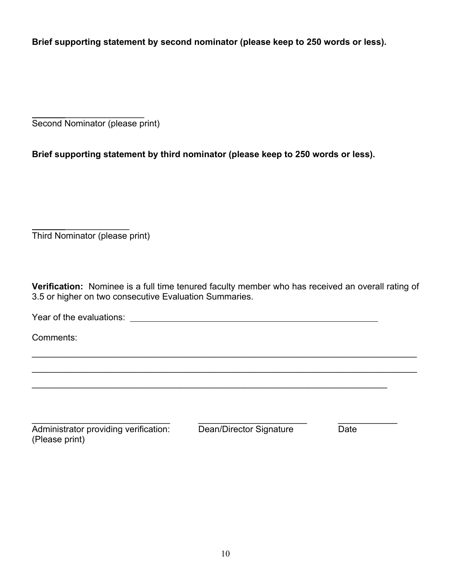**Brief supporting statement by second nominator (please keep to 250 words or less).**

 $\frac{1}{2}$ Second Nominator (please print)

**Brief supporting statement by third nominator (please keep to 250 words or less).**

 $\frac{1}{2}$ Third Nominator (please print)

**Verification:** Nominee is a full time tenured faculty member who has received an overall rating of 3.5 or higher on two consecutive Evaluation Summaries.

 $\mathcal{L}_\mathcal{L} = \mathcal{L}_\mathcal{L} = \mathcal{L}_\mathcal{L} = \mathcal{L}_\mathcal{L} = \mathcal{L}_\mathcal{L} = \mathcal{L}_\mathcal{L} = \mathcal{L}_\mathcal{L} = \mathcal{L}_\mathcal{L} = \mathcal{L}_\mathcal{L} = \mathcal{L}_\mathcal{L} = \mathcal{L}_\mathcal{L} = \mathcal{L}_\mathcal{L} = \mathcal{L}_\mathcal{L} = \mathcal{L}_\mathcal{L} = \mathcal{L}_\mathcal{L} = \mathcal{L}_\mathcal{L} = \mathcal{L}_\mathcal{L}$ 

 $\_$ 

 $\mathcal{L}_\text{max} = \mathcal{L}_\text{max} = \mathcal{L}_\text{max} = \mathcal{L}_\text{max} = \mathcal{L}_\text{max} = \mathcal{L}_\text{max} = \mathcal{L}_\text{max} = \mathcal{L}_\text{max} = \mathcal{L}_\text{max} = \mathcal{L}_\text{max} = \mathcal{L}_\text{max} = \mathcal{L}_\text{max} = \mathcal{L}_\text{max} = \mathcal{L}_\text{max} = \mathcal{L}_\text{max} = \mathcal{L}_\text{max} = \mathcal{L}_\text{max} = \mathcal{L}_\text{max} = \mathcal{$ 

Year of the evaluations:

Comments:

\_\_\_\_\_\_\_\_\_\_\_\_\_\_\_\_\_\_\_\_\_\_\_\_\_\_\_\_ \_\_\_\_\_\_\_\_\_\_\_\_\_\_\_\_\_\_\_\_\_\_ \_\_\_\_\_\_\_\_\_\_\_\_ Administrator providing verification: Dean/Director Signature Date (Please print)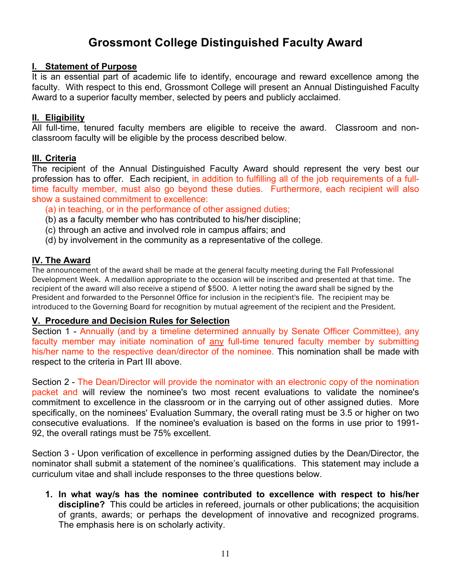# **Grossmont College Distinguished Faculty Award**

## **I. Statement of Purpose**

It is an essential part of academic life to identify, encourage and reward excellence among the faculty. With respect to this end, Grossmont College will present an Annual Distinguished Faculty Award to a superior faculty member, selected by peers and publicly acclaimed.

## **II. Eligibility**

All full-time, tenured faculty members are eligible to receive the award. Classroom and nonclassroom faculty will be eligible by the process described below.

# **III. Criteria**

The recipient of the Annual Distinguished Faculty Award should represent the very best our profession has to offer. Each recipient, in addition to fulfilling all of the job requirements of a fulltime faculty member, must also go beyond these duties. Furthermore, each recipient will also show a sustained commitment to excellence:

- (a) in teaching, or in the performance of other assigned duties;
- (b) as a faculty member who has contributed to his/her discipline;
- (c) through an active and involved role in campus affairs; and
- (d) by involvement in the community as a representative of the college.

# **IV. The Award**

The announcement of the award shall be made at the general faculty meeting during the Fall Professional Development Week. A medallion appropriate to the occasion will be inscribed and presented at that time. The recipient of the award will also receive a stipend of \$500. A letter noting the award shall be signed by the President and forwarded to the Personnel Office for inclusion in the recipient's file. The recipient may be introduced to the Governing Board for recognition by mutual agreement of the recipient and the President.

# **V. Procedure and Decision Rules for Selection**

Section 1 - Annually (and by a timeline determined annually by Senate Officer Committee), any faculty member may initiate nomination of any full-time tenured faculty member by submitting his/her name to the respective dean/director of the nominee. This nomination shall be made with respect to the criteria in Part III above.

Section 2 - The Dean/Director will provide the nominator with an electronic copy of the nomination packet and will review the nominee's two most recent evaluations to validate the nominee's commitment to excellence in the classroom or in the carrying out of other assigned duties. More specifically, on the nominees' Evaluation Summary, the overall rating must be 3.5 or higher on two consecutive evaluations. If the nominee's evaluation is based on the forms in use prior to 1991- 92, the overall ratings must be 75% excellent.

Section 3 - Upon verification of excellence in performing assigned duties by the Dean/Director, the nominator shall submit a statement of the nominee's qualifications. This statement may include a curriculum vitae and shall include responses to the three questions below.

**1. In what way/s has the nominee contributed to excellence with respect to his/her discipline?** This could be articles in refereed, journals or other publications; the acquisition of grants, awards; or perhaps the development of innovative and recognized programs. The emphasis here is on scholarly activity.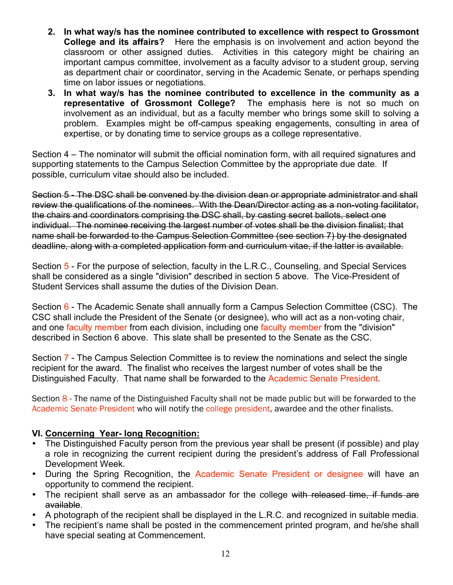- **2. In what way/s has the nominee contributed to excellence with respect to Grossmont College and its affairs?** Here the emphasis is on involvement and action beyond the classroom or other assigned duties. Activities in this category might be chairing an important campus committee, involvement as a faculty advisor to a student group, serving as department chair or coordinator, serving in the Academic Senate, or perhaps spending time on labor issues or negotiations.
- **3. In what way/s has the nominee contributed to excellence in the community as a representative of Grossmont College?** The emphasis here is not so much on involvement as an individual, but as a faculty member who brings some skill to solving a problem. Examples might be off-campus speaking engagements, consulting in area of expertise, or by donating time to service groups as a college representative.

Section 4 – The nominator will submit the official nomination form, with all required signatures and supporting statements to the Campus Selection Committee by the appropriate due date*.* If possible, curriculum vitae should also be included.

Section 5 - The DSC shall be convened by the division dean or appropriate administrator and shall review the qualifications of the nominees. With the Dean/Director acting as a non-voting facilitator, the chairs and coordinators comprising the DSC shall, by casting secret ballots, select one individual. The nominee receiving the largest number of votes shall be the division finalist; that name shall be forwarded to the Campus Selection Committee (see section 7) by the designated deadline, along with a completed application form and curriculum vitae, if the latter is available.

Section 5 - For the purpose of selection, faculty in the L.R.C., Counseling, and Special Services shall be considered as a single "division" described in section 5 above. The Vice-President of Student Services shall assume the duties of the Division Dean.

Section 6 - The Academic Senate shall annually form a Campus Selection Committee (CSC). The CSC shall include the President of the Senate (or designee), who will act as a non-voting chair, and one faculty member from each division, including one faculty member from the "division" described in Section 6 above. This slate shall be presented to the Senate as the CSC.

Section 7 - The Campus Selection Committee is to review the nominations and select the single recipient for the award. The finalist who receives the largest number of votes shall be the Distinguished Faculty. That name shall be forwarded to the Academic Senate President.

Section 8 - The name of the Distinguished Faculty shall not be made public but will be forwarded to the Academic Senate President who will notify the college president, awardee and the other finalists.

# **VI. Concerning Year- long Recognition:**

- The Distinguished Faculty person from the previous year shall be present (if possible) and play a role in recognizing the current recipient during the president's address of Fall Professional Development Week.
- During the Spring Recognition, the Academic Senate President or designee will have an opportunity to commend the recipient.
- The recipient shall serve as an ambassador for the college with released time, if funds are available.
- A photograph of the recipient shall be displayed in the L.R.C. and recognized in suitable media.
- The recipient's name shall be posted in the commencement printed program, and he/she shall have special seating at Commencement.